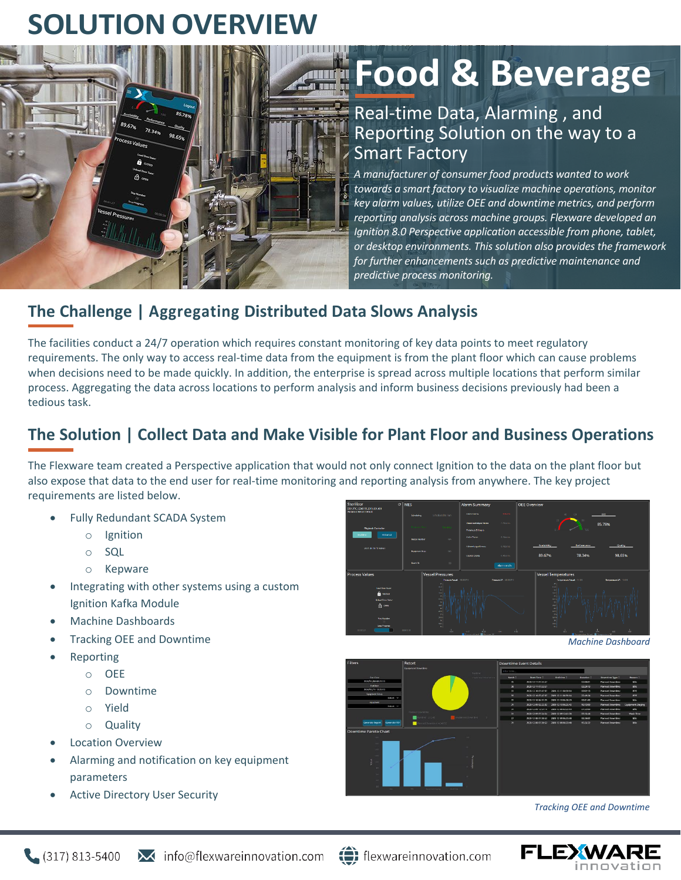# **SOLUTION OVERVIEW**



# **Food & Beverage**

### Real-time Data, Alarming , and Reporting Solution on the way to a Smart Factory

*A manufacturer of consumer food products wanted to work towards a smart factory to visualize machine operations, monitor key alarm values, utilize OEE and downtime metrics, and perform reporting analysis across machine groups. Flexware developed an Ignition 8.0 Perspective application accessible from phone, tablet, or desktop environments. This solution also provides the framework for further enhancements such as predictive maintenance and predictive process monitoring.*

#### **The Challenge | Aggregating Distributed Data Slows Analysis**

The facilities conduct a 24/7 operation which requires constant monitoring of key data points to meet regulatory requirements. The only way to access real-time data from the equipment is from the plant floor which can cause problems when decisions need to be made quickly. In addition, the enterprise is spread across multiple locations that perform similar process. Aggregating the data across locations to perform analysis and inform business decisions previously had been a tedious task.

## **The Solution | Collect Data and Make Visible for Plant Floor and Business Operations**

The Flexware team created a Perspective application that would not only connect Ignition to the data on the plant floor but also expose that data to the end user for real-time monitoring and reporting analysis from anywhere. The key project requirements are listed below.

- Fully Redundant SCADA System
	- o Ignition
	- o SQL
	- o Kepware
- Integrating with other systems using a custom Ignition Kafka Module
- Machine Dashboards
- Tracking OEE and Downtime
	- **Reporting** 
		- o OEE
			- o Downtime
			- o Yield
			- o Quality
- **Location Overview**
- Alarming and notification on key equipment parameters
- Active Directory User Security



*Machine Dashboard*



*Tracking OEE and Downtime*